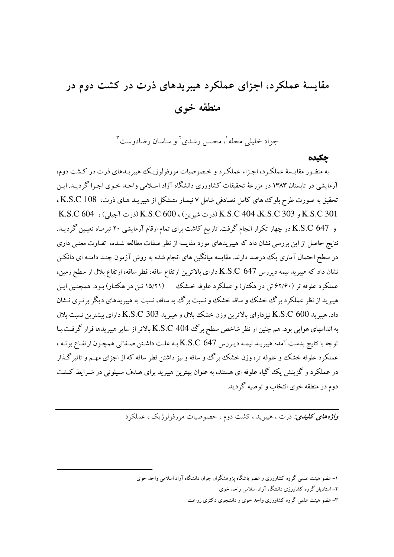# مقایسهٔ عملکرد، اجزای عملکرد هیبریدهای ذرت در کشت دوم در منطقه خوى

جواد خليلي محله'، محسن رشدي' و ساسان رضادوست"

#### حكىده

به منظور مقایسهٔ عملکرد، اجزاء عملکرد و خصوصیات مورفولوژیک هیبریـدهای ذرت در کـشت دوم، آزمایشی در تابستان ۱۳۸۳ در مزرعهٔ تحقیقات کشاورزی دانشگاه آزاد اسلامی واحـد خـوی اجـرا گردیـد. ایـن تحقیق به صورت طرح بلوک های کامل تصادفی شامل ۷ تیمـار متـشکل از هیبریـد هـای ذرت، K.S.C 108 ، K.S.C 301 و 303 K.S.C 404 (ذرت شيرين) ، K.S.C 600 (ذرت آجيلي) ، K.S.C 604 و K.S.C 647 در چهار تکرار انجام گرفت. تاریخ کاشت برای تمام ارقام آزمایشی ۲۰ تیرمـاه تعیـین گردیـد. نتایج حاصل از این بررسی نشان داد که هیبریدهای مورد مقایسه از نظر صفات مطالعه شـده، تفـاوت معنـی داری در سطح احتمال آماری یک درصد دارند. مقایسه میانگین های انجام شده به روش آزمون چنـد دامنـه ای دانکـن نشان داد که هیبرید نیمه دیررس K.S.C 647 دارای بالاترین ارتفاع ساقه، قطر ساقه، ارتفاع بلال از سطح زمین، عملکرد علوفه تر (۶۲/۶۰ تن در هکتار) و عملکرد علوفه خـشک \_\_ (۱۵/۲۱ تـن در هکتـار) بـود. همچنـین ایـن هیبرید از نظر عملکرد برگ خشک و ساقه خشک و نسبت برگ به ساقه، نسبت به هیبریدهای دیگر بر تـری نـشان داد. هیبرید 600 K.S.C نیزدارای بالاترین وزن خشک بلال و هیبرید 303 K.S.C دارای بیشترین نسبت بلال به اندامهای هوایی بود. هم چنین ار نظر شاخص سطح برگ K.S.C 404 بالاتر از سایر هیبریدها قرار گرفت.بـا توجه با نتايج بدست آمده هيبريـد نيمـه ديـررس K.S.C 647 بـه علـت داشـتن صـفاتي همچـون ارتفـاع بوتـه ، عملکرد علوفه خشک و علوفه تر، وزن خشک برگ و ساقه و نیز داشتن قطر ساقه که از اجزای مهـم و تاثیر گـذار در عملکرد و گزینش یک گیاه علوفه ای هستند، به عنوان بهترین هیبرید برای هـدف سـیلوئی در شـرایط کـشت دوم در منطقه خوی انتخاب و توصیه گردید.

*واژههای کلیدی:* ذرت ، هیبرید ، کشت دوم ، خصوصیات مورفولوژیک ، عملکرد

۱- عضو هیئت علمی گروه کشاورزی و عضو باشگاه پژوهشگران جوان دانشگاه آزاد اسلامی واحد خوی

۲- استادیار گروه کشاورزی دانشگاه آزاد اسلامی واحد خوی

۳- عضو هیئت علمی گروه کشاورزی واحد خوی و دانشجوی دکتری زراعت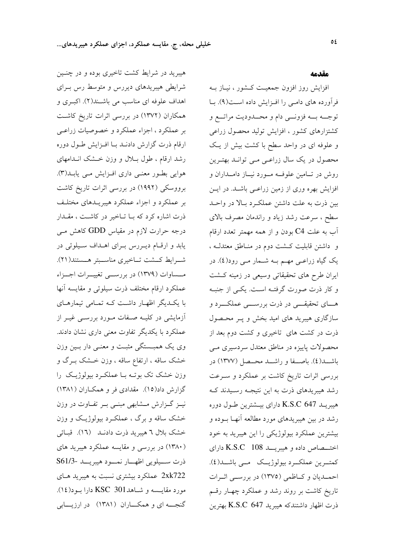مقدمه

هیبرید در شرایط کشت تاخیری بوده و در چنـین شرایطی هیبریدهای دیررس و متوسط رس بـرای اهداف علوفه ای مناسب می باشند(۲). اکبری و همکاران (۱۳۷۲) در بررسی اثرات تاریخ کاشت بر عملکرد ، اجزاء عملکرد و خصوصیات زراعـی ارقام ذرت گزارش دادنـد بـا افـزايش طـول دوره رشد ارقام ، طول بلال و وزن خـشک انـدامهای هوایی بطـور معنـی داری افـزایش مـی یابـد(۳). برووسکی (۱۹۹۲) در بررسی اثرات تاریخ کاشت بر عملکرد و اجزاء عملکرد هیبریـدهای مختلـف ذرت اشاره کرد که بـا تـاخیر در کاشـت ، مقـدار درجه حرارت لازم در مقیاس GDD کاهش مـی یابد و ارقام دیررس برای اهداف سیلوئی در شرايط كــشت تــاخيري مناســبتر هــستند(٢١). مــساوات (۱۳۷۹) در بررســي تغييــرات اجــزاء عملكرد ارقام مختلف ذرت سيلوئي و مقايسه أنها با یک دیگر اظهار داشت کـه تمـامی تیمارهـای آزمایشی در کلیـه صـفات مـورد بررسـی غیـر از عملکرد با یکدیگر تفاوت معنی داری نشان دادند. وی یک همبــستگی مثبــت و معنــی دار بــین وزن خشک ساقه ، ارتفاع ساقه ، وزن خــشک بــرگ و وزن خشک تک بوتـه بـا عملکـرد بیولوژیـک را گزارش داد(۱۵). مقدادی فر و همکـاران (۱۳۸۱) نیـز گـزارش مـشابهی مبنـی بـر تفـاوت در وزن خشک ساقه و برگ ، عملکرد بیولوژیک و وزن خشک بلال ٦ هیبرید ذرت دادنـد (١٦). قبـائی (۱۳۸۰) در بررسی و مقایسه عملکرد هیبرید های ذرت ســيلويي اظهــار نمــود هيبريــد -S61/3 2xk722 عملكرد بيشتري نسبت به هيبريد هـاي مورد مقايسه و شـاهد301 KSC دارا بـود(١٤). گنجـــه ای و همکـــاران (۱۳۸۱) در ارزیـــابی

فرآورده های دامی را افزایش داده است(۹). با توجــه بــه فزونـــي دام و محــدوديت مراتـــع و کشتزارهای کشور ، افزایش تولید محصول زراعی و علوفه ای در واحد سطح با کشت بیش از یک محصول در یک سال زراعـی مـی توانـد بهتـرین روش در تــامین علوفــه مــورد نیــاز دامــداران و افزایش بهره وری از زمین زراعـی باشــد. در ایــن بین ذرت به علت داشتن عملکرد بالا در واحـد سطح ، سرعت رشد زياد و راندمان مصرف بالاي آب به علت C4 بودن و از همه مهمتر تعدد ارقام و داشتن قابلیت کــشت دوم در منــاطق معتدلــه ، یک گیاه زراعـی مهـم بــه شــمار مــی رود(٤). در ایران طرح های تحقیقاتی وسیعی در زمینه کـشت و کار ذرت صورت گرفتـه اسـت. یکـی از جنبـه هــای تحقیقـــی در ذرت بررســـی عملکـــرد و سازگاری هیبرید های امید بخش و پـر محـصول ذرت در کشت های تاخیری و کشت دوم بعد از محصولات پاییزه در مناطق معتدل سردسیری مــی باشـــد(٤). باصـــفا و راشـــد محــصل (١٣٧٧) در بررسی اثرات تاریخ کاشت بر عملکرد و سـرعت رشد هیبریدهای ذرت به این نتیجـه رسـیدند کـه هیبریـد K.S.C 647 دارای بیــشترین طــول دوره رشد در بین هیبریدهای مورد مطالعه أنهـا بــوده و بیشترین عملکرد بیولوژیکی را این هیبرید به خود اختـــصاص داده و هیبریـــد K.S.C 108 دارای كمتــرين عملكــرد بيولوژيــك \_مــي باشـــد(٤). احمـديان و كــاظمى (١٣٧٥) در بررســى اثــرات تاریخ کاشت بر روند رشد و عملکرد چهـار رقـم ذرت اظهار داشتندکه هیبرید K.S.C 647 بهترین

افزایش روز افزون جمعیت کشور ، نیاز بـه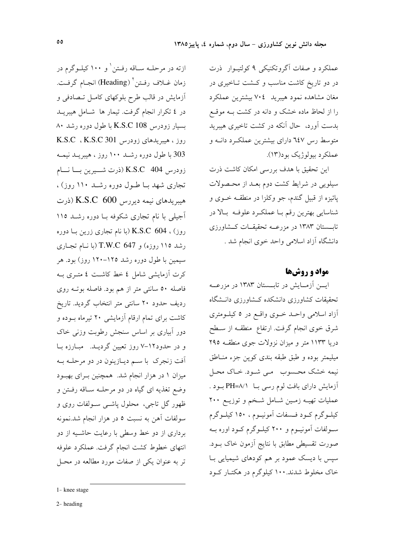عملکرد و صفات آگروتکنیکی ۹ کولتیـوار ً ذرت در دو تاریخ کاشت مناسب و کـشت تـاخیری در مغان مشاهده نمود هيبريد ٧٠٤ بيشترين عملكرد را از لحاظ ماده خشک و دانه در کشت بـه موقـع بدست آورد، حال آنکه در کشت تاخیری هیبرید متوسط رس ٦٤٧ داراي بيشترين عملكرد دانـه و عملکرد بيولوژيک بود(۱۳).

این تحقیق با هدف بررسی امکان کاشت ذرت سیلویی در شرایط کشت دوم بعـد از محـصولات پائيزه از قبيل گندم، جو وكلزا در منطقـه خــوى و شناسایی بهترین رقم بـا عملکـرد علوفـه بـالا در تابسستان ۱۳۸۳ در مزرعــه تحقیقــات کــشاورزی دانشگاه آزاد اسلامی واحد خوی انجام شد .

### مواد و روشها

ایسن آزمسایش در تابستان ۱۳۸۳ در مزرعــه تحقیقات کشاورزی دانشکده کـشاورزی دانـشگاه أزاد اسلامی واحـد خـوی واقـع در ٥ کیلـومتری شرق خوی انجام گرفت. ارتفاع ًمنطقـه از ســطح دریا ۱۱۳۳ متر و میزان نزولات جوی منطقـه ۲۹۵ میلیمتر بوده و طبق طبقه بندی کوپن جزء منـاطق نیمه خشک محسوب می شود. خاک محل آزمایش دارای بافت لوم رسی بــا PH=۸/۱ بـود . عملیات تهیـه زمـین شـامل شـخم و توزیـع ۲۰۰ کیلـوگرم کـود فـسفات اَمونیـوم ، ١٥٠ کیلـوگرم سولفات آمونیــوم و ۲۰۰ کیلــوگرم کــود اوره بــه صورت تقسیطی مطابق با نتایج آزمون خاک بـود. سپس با دیسک عمود بر هم کودهای شیمیایی بـا خاک مخلوط شدند. ۱۰۰ کیلوگرم در هکتـار کـود

ازته در مرحلــه ســاقه رفــتن' و ۱۰۰ کیلــوگرم در زمان غــلاف رفــتن`` (Heading) انجـام گرفــت. آزمایش در قالب طرح بلوکهای کامل تصادفی و در ٤ تكرار انجام گرفت. تيمار ها شامل هيبريـد بسیار زودرس K.S.C 108 با طول دوره رشد ۸۰ روز ، هیبریدهای زودرس K.S.C ، K.S.C 301 303 با طول دوره رشــد ۱۰۰ روز ، هیبریــد نیمــه زودرس K.S.C 404 (ذرت شمیرین بسا نسام تجاری شهد بـا طـول دوره رشــد ۱۱۰ روز) ، هیبریدهای نیمه دیررس K.S.C 600 (ذرت آجیلی با نام تجاری شکوفه بـا دوره رشـد ١١٥ روز) ، K.S.C 604 (با نام تجاری زرین بـا دوره رشد ١١٥ روزه) و T.W.C 647 (با نام تجاري سیمین با طول دوره رشد ۱۲۵–۱۲۰ روز) بود. هر كرت آزمايشي شامل ٤ خط كاشت ٤ متـرى بــه فاصله ۵۰ سانتی متر از هم بود. فاصله بوتـه روی ردیف حدود ۲۰ سانتی متر انتخاب گردید. تاریخ کاشت برای تمام ارقام آزمایشی ۲۰ تیرماه بـوده و دور آبیاری بر اساس سنجش رطوبت وزنی خاک و در حدود١٢-٧ روز تعيين گرديـد. مبارزه با ۔<br>آفت زنجرک با سـم دیــازینون در دو مرحلــه بــه میزان ۱ در هزار انجام شد. همچنین بـرای بهبـود وضع تغذیه ای گیاه در دو مرحلـه سـاقه رفـتن و ظهور گل تاجي، محلول پاشــي ســولفات روي و سولفات آهن به نسبت ٥ در هزار انجام شد.نمونه برداری از دو خط وسطی با رعایت حاشـیه از دو انتهای خطوط کشت انجام گرفت. عملکرد علوفه تر به عنوان یکی از صفات مورد مطالعه در محـل

<sup>1-</sup> knee stage

 $2$ -heading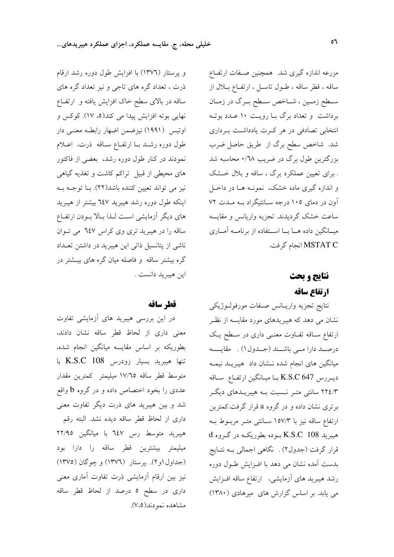و پرستار (۱۳۷٦) با افزایش طول دوره رشد ارقام ذرت ، تعداد گره های تاجی و نیز تعداد گره های ساقه در بالای سطح خاک افزایش یافته و ارتفـاع نهایی بوته افزایش پیدا می کند(٥، ١٧). کوکس و اوتیس (۱۹۹۱) نیزضمن اضهار رابطـه معنـی دار طول دوره رشـد بـا ارتفـاع سـاقه ً ذرت، اعـلام نمودند در کنار طول دوره رشد، بعضی از فاکتور های محیطی از قبیل تراکم کاشت و تغذیه گیاهی نیز می تواند تعیین کننده باشد(۲۲). بـا توجـه بـه اینکه طول دوره رشد هیبرید ٦٤٧ بیشتر از هیبرید های دیگر آزمایشی است لـذا بـالا بـودن ارتفـاع ساقه را در هیبرید تری وی کراس ٦٤٧ می تـوان ناشی از پتانسیل ذاتی این هیبرید در داشتن تعــداد گره بیشتر ساقه و فاصله میان گره های بیــشتر در اين هيبريد دانست .

#### قطر ساقه

در این بررسی هیبرید های آزمایشی تفاوت معنى دارى از لحاظ قطر ساقه نشان دادند، بطوریکه بر اساس مقایسه میانگین انجام شده، تنها هيبريد بسيار زودرس K.S.C 108 با متوسط قطر ساقه ١٧/٦٥ ميليمتر كمترين مقدار عددی را بخود اختصاص داده و در گروه b واقع شد و بین هیبرید های ذرت دیگر تفاوت معنی داری از لحاظ قطر ساقه دیده نشد. البته رقم هیبرید متوسط رس ٦٤٧ با میانگین ٢٢/٩٥ میلیمتر بیشترین قطر ساقه را دارا بود (جداول ۱و۲). بپرستار (۱۳۷۲) و چوگان (۱۳۷۵) نیز بین ارقام آزمایشی ذرت تفاوت آماری معنی داری در سطح ٥ درصد از لحاظ قطر ساقه مشاهده نمودند(٧،٥).

مزرعه اندازه گیری شد. همچنین صـفات ارتفـاع ساقه ، قطر ساقه ، طـول تاسـل ، ارتفـاع بـلال از سـطح زمـين ، شــاخص سـطح بــرگ در زمــان برداشت و تعداد برگ بـا رویـت ۱۰ عــدد بوتــه انتخابی تصادفی در هر کـرت یادداشـت بـرداری شد. شاخص سطح برگ از طریق حاصل ضرب بزرگترین طول برگ در ضریب ۰/٦٨ محاسبه شد . برای تعیین عملکرد برگ ، ساقه و بلال خشک و اندازه گیری ماده خشک، نمونـه هـا در داخـل آون در دمای ۱۰۵ درجه سـانتیگراد بـه مـدت ۷۲ ساعت خشک گردیدند. تجزیه واریانس و مقایسه میــانگین داده هــا بــا اســتفاده از برنامــه آمــاری MSTAT C انجام گرفت.

## نتايج و بحث ارتفاع ساقه

نتايج تجزيه واريـانس صـفات مورفولـوژيكى نشان می دهد که هیبریدهای مورد مقایسه از نظر ارتفاع سـاقه تفـاوت معنـی داری در سـطح یـک درصـد دارا مــی باشــند (جــدول١) . مقايــسه میانگین های انجام شده نــشان داد هیبریــد نیمــه ديررس K.S.C 647 با ميانگين ارتفاع ساقه ۲۲٤/۳ سانتی متـر نـسبت بـه هیبریــدهای دیگـر برتری نشان داده و در گروه a قرار گرفت.کمترین ارتفاع ساقه نیز با ۱۵۷/۳ سـانتی متـر مربـوط بـه هیبرید K.S.C 108 بـوده بطوریکـه در گـروه d قرار گرفت (جدول۲) . نگاهی اجمالی بـه نتـايج بدست آمده نشان می دهد با افـزایش طـول دوره رشد هیبرید های آزمایشی، ارتفاع ساقه افـزایش می یابد. بر اساس گزارش های میرهادی (۱۳۸۰)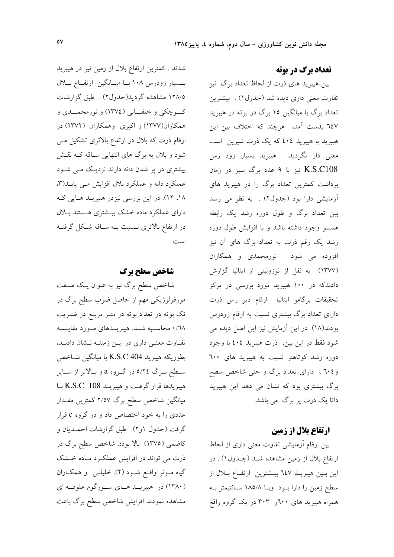#### **تعداد برگ در بوته**

بین هیبرید های ذرت از لحاظ تعداد برگ نیز تفاوت معنی داری دیده شد (جدول ۱) . بیشترین تعداد برگ با میانگین ۱۵ برگ در بوته در هیبرید ٦٤٧ بدست آمد، هرچند كه اختلاف بين اين هیبرید با هیبرید ٤٠٤ که یک ذرت شیرین است معنی دار نگردید. هیبرید بسیار زود رس K.S.C108 نیز با ۹ عدد برگ سبز در زمان برداشت کمترین تعداد برگ را در هیبرید های آزمایشی دارا بود (جدول۲) . به نظر می رسد بین تعداد برگ و طول دوره رشد یک رابطه همسو وجود داشته باشد و با افزایش طول دوره رشد یک رقم ذرت به تعداد برگ های آن نیز افزوده می شود. نورمحمدی و همکاران (١٣٧٧) به نقل از نوزولینی از ایتالیا گزارش دادندکه در ۱۰۰ هیبرید مورد بررسی در مرکز تحقیقات برگامو ایتالیا ارقام دیر رس ذرت دارای تعداد برگ بیشتری نسبت به ارقام زودرس بودند(١٨). در اين آزمايش نيز اين اصل ديده مي شود فقط در این بین، ذرت هیبرید ٤٠٤ با وجود دوره رشد کوتاهتر نسبت به هیبرید های ٦٠٠ و ۲۰٤ ، دارای تعداد برگ و حتی شاخص سطح برگ بیشتری بود که نشان می دهد این هیبرید ذاتا یک ذرت پر برگ می باشد.

#### **ارتفاع بلال از زمین**

بین ارقام آزمایشی تفاوت معنی داری از لحاظ ارتفاع بلال از زمین مشاهده شـد (جـدول ۱) . در این بسین هیبریـد ٦٤٧ بیــشترین ارتفــاع بــلال از سطح زمین را دارا بود وبـا ۱۸۵/۸ سـانتیمتر بـه همراه هیبرید های ۲۰۰و ۳۰۳ در یک گروه واقع

شدند . کمترین ارتفاع بلال از زمین نیز در هیبرید بسسیار زودرس ۱۰۸ بسا میسانگین ارتفاع بلال ١٢٨/٥ مشاهده گرديد(جدول٢) . طبق گزارشات کوچکی و خلفانی (١٣٧٤) و نورمحمــدی و همکاران(۱۳۷۷) و اکبری وهمکاران (۱۳۷۲) در ارقام ذرت که بلال در ارتفاع بالاتری تشکیل می شود و بلال به برگ های انتهایی سـاقه کــه نقــش بیشتری در پر شدن دانه دارند نزدیک مـی شـود عملکرد دانه و عملکرد بلال افزایش مـی یابـد(۳، ١٨، ١٢). در اين بررسي نيزدر هيبريـد هـايي كـه دارای عملکرد ماده خشک بیـشتری هـستند بـلال در ارتفاع بالاتری نـسبت بـه سـاقه شـكل گرفتـه است .

#### شاخص سطح برگ

شاخص سطح برگ نیز به عنوان یک صفت مورفولوژیکی مهم از حاصل ضرب سطح برگ در تک بوته در تعداد بوته در متـر مربـع در ضـريب ٬۶۸ محاسـبه شـد. هیبریــدهای مــورد مقایــسه تفاوت معنى دارى در ايـن زمينـه نـشان دادنـد، بطوريكه هيبريد 404 K.S.C با ميانگين شـاخص سطح بـرگ ٥/٢٤ در گـروه a و بـالاتر از سـاير هيبريدها قرار گرفت و هيبريـد K.S.C 108 بـا میانگین شاخص سطح برگ ۲/٥۷ کمترین مقـدار عددي را به خود اختصاص داد و در گروه c قرار گرفت (جدول ۱و۲). طبق گزارشات احمـدیان و کاضمی (١٣٧٥) بالا بودن شاخص سطح برگ در ذرت می تواند در افزایش عملکرد ماده خشک گیاه موثر واقع شود (۲). خلیلـی و همکـاران (۱۳۸۰) در هیبریــد هـای سـورگوم علوفـه ای مشاهده نمودند افزايش شاخص سطح برگ باعث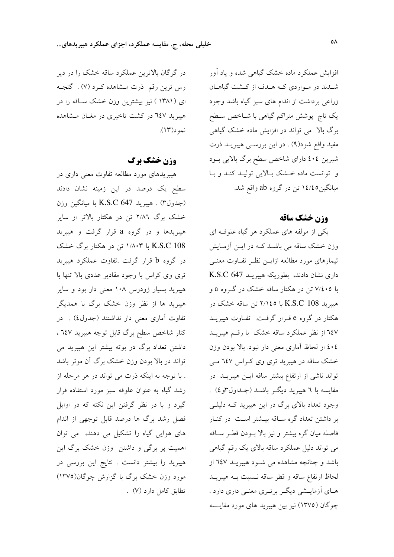افزایش عملکرد ماده خشک گیاهی شده و یاد آور شـدند در مـواردي كـه هـدف از كـشت گياهـان زراعی برداشت از اندام های سبز گیاه باشد وجود یک تاج پوشش متراکم گیاهی با شــاخص ســطح برگ بالا می تواند در افزایش ماده خشک گیاهی مفيد واقع شود(٩) . در اين بررسـي هيبريــد ذرت شیرین ٤٠٤ دارای شاخص سطح برگ بالایی بود و توانست ماده خشک بالایی تولیـد کنـد و بـا میانگین۱٤/٤٥ تن در گروه ab واقع شد.

#### وزن خشك ساقه

یکی از مولفه های عملکرد هر گیاه علوفه ای وزن خشک ساقه می باشـد کـه در ایــن آزمــایش تیمارهای مورد مطالعه ازایــن نظـر تفــاوت معنــی داری نشان دادند، بطوریکه هیبریـد K.S.C 647 با ۷/٤٠٥ تن در هکتار ساقه خشک در گـروه a و هیبرید 208 K.S.C با ۲/۱٤٥ تن ساقه خشک در هکتار در گروه e قـرار گرفـت. تفـاوت هیبریــد ٦٤٧ از نظر عملکرد ساقه خشک با رقسم هیبریــد ٤٠٤ از لحاظ آماري معنى دار نبود. بالا بودن وزن خشک ساقه در هیبرید تری وی کـراس ۲٤۷ مـی تواند ناشی از ارتفاع بیشتر ساقه ایـن هیبریـد در مقايسه با ٦ هيبريد ديگـر باشــد (جــداول٣و ٤) . وجود تعداد بالای برگ در این هیبرید کـه دلیلـی بر داشتن تعداد گره ساقه بیـشتر اسـت در کنـار فاصله میان گره بیشتر و نیز بالا بودن قطـر سـاقه مي تواند دليل عملكرد ساقه بالاي يک رقم گياهي باشد و چنانچه مشاهده می شـود هیبریـد ٦٤٧ از لحاظ ارتفاع ساقه و قطر ساقه نـسبت بـه هيبريــد هـاي آزمايــشي ديگــر برتــري معنــي داري دارد . چوگان (١٣٧٥) نيز بين هيبريد هاي مورد مقايــسه

در گرگان بالاترین عملکرد ساقه خشک را در دیر رس ترین رقم ذرت مـشاهده کـرد (۷) . گنجـه ای (۱۳۸۱ ) نیز بیشترین وزن خشک ساقه را در هیبرید ۲٤۷ در کشت تاخیری در مغـان مـشاهده نمود(۱۳).

#### **وزن خشک برگ**

هیبریدهای مورد مطالعه تفاوت معنی داری در سطح یک درصد در این زمینه نشان دادند (جدول٣) . هيبريد K.S.C 647 با ميانگين وزن خشک برگ ۲/۸<mark>۲</mark> تن در هکتار بالاتر از سایر هیبریدها و در گروه a قرار گرفت و هیبرید K.S.C 108 با ۱/۸۰۳ تن در هکتار برگ خشک در گروه b قرار گرفت .تفاوت عملکرد هیبرید تری وی کراس با وجود مقادیر عددی بالا تنها با هیبرید بسیار زودرس ۱۰۸ معنی دار بود و سایر هیبرید ها از نظر وزن خشک برگ با همدیگر تفاوت آماری معنی دار نداشتند (جدول،) . در كنار شاخص سطح برگ قابل توجه هيبريد ٦٤٧ ، داشتن تعداد برگ در بوته بیشتر این هیبرید می تواند در بالا بودن وزن خشک برگ آن موثر باشد . با توجه به اینکه ذرت می تواند در هر مرحله از رشد گیاه به عنوان علوفه سبز مورد استفاده قرار گیرد و با در نظر گرفتن این نکته که در اوایل فصل رشد برگ ها درصد قابل توجهی از اندام های هوایی گیاه را تشکیل می دهند، می توان اهمیت پر برگی و داشتن وزن خشک برگ این هیبرید را بیشتر دانست . نتایج این بررسی در مورد وزن خشک برگ با گزارش چوگان(١٣٧٥) تطابق كامل دارد (٧) .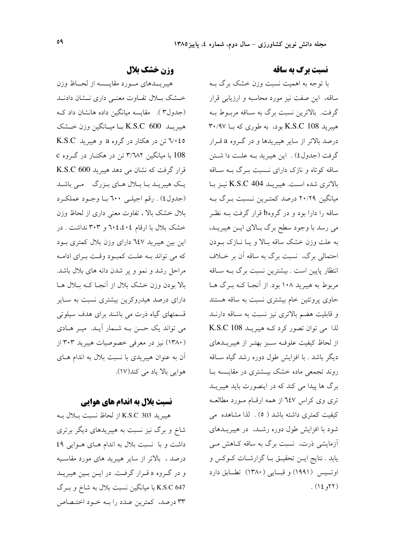#### نسبت برگ به ساقه

با توجه به اهمیت نسبت وزن خشک برگ بــه ساقه، این صفت نیز مورد محاسبه و ارزیابی قرار گرفت. بالاترین نسبت برگ به سـاقه مربـوط بـه هیبرید K.S.C 108 بود، به طوری که بــا ۳۰/۹۷ درصد بالاتر از سایر هیبریدها و در گـروه a قـرار گرفت (جدول٤) . اين هيبريد بـه علـت دا شـتن ساقه کوتاه و نازک دارای نـسبت بـرگ بـه سـاقه بالاترى شده است. هيبريـد K.S.C 404 نيـز بـا میانگین ۲۰/۲۹ درصد کمترین نـسبت بـرگ بـه ساقه را دارا بود و در گروهb قرار گرفت بــه نظـر می رسد با وجود سطح برگ بالای ایـن هیبریـد، به علت وزن خشک ساقه بالا و پا نبازک ببودن احتمالي برگ، نسبت برگ به ساقه آن بر خــلاف انتظار پایین است . بیشترین نسبت برگ بـه سـاقه مربوط به هیبرید ۱۰۸ بود. از آنجـا کــه بــرگ هــا حاوی پروتئین خام بیشتری نسبت به ساقه هستند و قابلیت هضم بالاتری نیز نسبت به سـاقه دارنــد لذا می توان تصور کرد کـه هیبریـد K.S.C 108 از لحاظ کیفیت علوفه سـبز بهتـر از هیبریــدهای دیگر باشد . با افزایش طول دوره رشد گیاه ســاقه روند تجمعی ماده خشک بیـشتری در مقایـسه بـا برگ ها پیدا می کند که در اینصورت باید هیبریــد تری وی کراس ٦٤٧ از همه ارقام مورد مطالعـه کیفیت کمتری داشته باشد ( ٥) . لذا مشاهده می شود با افزایش طول دوره رشد، در هیبریـدهای آزمایشی ذرت، نسبت برگ به ساقه کـاهش مـی یابد . نتایج ایـن تحقیـق بـا گزارشـات کـوکس و اوتسیس (۱۹۹۱) و قبسایی (۱۳۸۰) تطبابق دارد (٢٢و ١٤) .

#### وزن خشک بلال

هيبريــدهاى مــورد مقايــسه از لحــاظ وزن خشک بلال تفاوت معنى دارى نـشان دادنــد (جدول۳). مقايسه ميانگين داده هانشان داد ک هيبريــد 600 K.S.C بــا ميــانگين وزن خــشک ۰۶/۵ تن در هکتار در گروه a و هیبرید K.S.C 108 با میانگین ۳/٦٨٢ تن در هکتــار در گــروه c قرار گرفت که نشان می دهد هیبرید K.S.C 600 یک هیبریـد بـا بـلال هـای بـزرگ مـی باشـد (جدول٤) . رقم اجيلي ٦٠٠ با وجـود عملكـرد بلال خشک بالا ، تفاوت معنی داری از لحاظ وزن خشک بلال با ارقام ۲۰٤،٤٠٤ و ۳۰۳ نداشت . در این بین هیبرید ٦٤٧ دارای وزن بلال کمتری بود که می تواند بـه علـت کمبود وقـت بـرای ادامـه مراحل رشد و نمو و ير شدن دانه هاي بلال باشد. بالا بودن وزن خشک بلال از آنجـا کـه بــلال هــا دارای درصد هیدروکرین بیشتری نسبت به سـایر قسمتهای گیاه ذرت می باشند برای هدف سیلوئی می تواند یک حسن بـه شـمار آیـد. میـر هـادی (۱۳۸۰) نیز در معرفی خصوصیات هیبرید ۳۰۳ از آن به عنوان هیبریدی با نسبت بلال به اندام هـای هوايي بالا ياد مي كند(١٧).

#### **نسبت بلال به اندام های هوایی**

هيبريد 303 K.S.C از لحاظ نسبت بلال بـه شاخ و برگ نیز نسبت به هیبریدهای دیگر برتری داشت و با نسبت بلال به اندام هـای هـوایی ٤٩ درصد ، بالاتر از سایر هیبرید های مورد مقاسـیه و در گروه a قرار گرفت. در اين بين هيبريد K.S.C 647 با میانگین نسبت بلال به شاخ و بـرگ ۳۳ درصد، کمترین عـدد را بـه خـود اختـصاص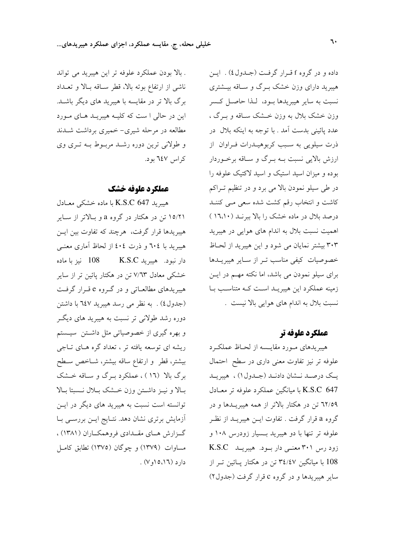داده و در گروه f قـرار گرفت (جـدول٤) . ايـن هیبرید دارای وزن خشک بـرگ و سـاقه بیـشتری نسبت به سایر هیبریدها بود، لـذا حاصـل کـسر وزن خشک بلال به وزن خــشک ســاقه و بــرگ ، عدد پائینی بدست آمد . با توجه به اینکه بلال در ذرت سیلویی به سبب کربوهیـدرات فـراوان از ارزش بالایی نسبت بـه بـرگ و سـاقه برخـوردار بوده و میزان اسید استیک و اسید لاکتیک علوفه را در طی سیلو نمودن بالا می برد و در تنظیم تـراکم کاشت و انتخاب رقم کشت شده سعی مــی کننــد درصد بلال در ماده خشک را بالا ببرنـد (١٦،١٠) اهمیت نسبت بلال به اندام های هوایی در هیبرید ۲۰۳ بیشتر نمایان می شود و این هیبرید از لحـاظ خصوصیات کیفی مناسب تـر از سـایر هیبریــدها برای سیلو نمودن می باشد، اما نکته مهــم در ایــن زمینه عملکرد این هیبریـد اسـت کـه متناسـب بـا نسبت بلال به اندام های هوایی بالا نیست .

### عملكرد علوفه تر

هیبریدهای مورد مقایسه از لحـاظ عملکـرد علوفه تر نیز تفاوت معنی داری در سطح احتمال یک درصد نـشان دادنـد (جـدول ۱) ، هیبریـد K.S.C 647 با ميانگين عملكرد علوفه تر معـادل ٦٢/٥٩ تن در هکتار بالاتر از همه هیبریـلـها و در گروه a قرار گرفت . تفاوت ايــن هيبريــد از نظـر علوفه تر تنها با دو هیبرید بـسیار زودرس ۱۰۸ و زود رس ۳۰۱ معنی دار بود. هیبریـد K.S.C 108 با میانگین ۳٤/٤٧ تن در هکتار پــائین تــر از سایر هیبریدها و در گروه c قرار گرفت (جدول۲)

. بالا بودن عملكرد علوفه تر اين هيبريد مي تواند ناشی از ارتفاع بوته بالا، قطر ساقه بالا و تعـداد برگ بالا تر در مقایسه با هیبرید های دیگر باشـد. این در حالی ا ست که کلیـه هیبریـد هـای مـورد مطالعه در مرحله شیری- خمیری برداشت شــدند و طولانی ترین دوره رشد مربوط به تری وی کراس ٦٤٧ بود.

#### عملكرد علوفه خشك

هیبرید K.S.C 647 با ماده خشکی معـادل ۱۵/۲۱ تن در هکتار در گروه a و بـالاتر از سـاير هیبریدها قرار گرفت، هرچند که تفاوت بین ایــن هیبرید با ۲۰٤ و ذرت ٤٠٤ از لحاظ آماری معنبی دار نبود. هیبرید K.S.C تنز با ماده خشکی معادل ۷/٦۳ تن در هکتار پائین تر از سایر هیبریدهای مطالعـاتی و در گـروه e قـرار گرفـت (جدول٤) . به نظر مي رسد هيبريد ٦٤٧ با داشتن دوره رشد طولانی تر نسبت به هیبرید های دیگر و بهره گیری از خصوصیاتی مثل داشتن سیستم ریشه ای توسعه یافته تر ، تعداد گره هـای تــاجی بيشتر، قطر و ارتفاع ساقه بيشتر، شـاخص سـطح برگ بالا (١٦) ، عملکرد بـرگ و سـاقه خــشک بـالا و نيـز داشـتن وزن خـشک بـلال نـسبتا بـالا توانسته است نسبت به هیبرید های دیگر در ایــن آزمایش برتری نشان دهد. نتـایج ایــن بررســی بــا گـزارش هــاي مقــدادي فروهمكــاران (١٣٨١) ، مساوات (۱۳۷۹) و چوگان (۱۳۷۵) تطابق کامل  $c_1(c_1 \cap c_2 \cap c_3)$ .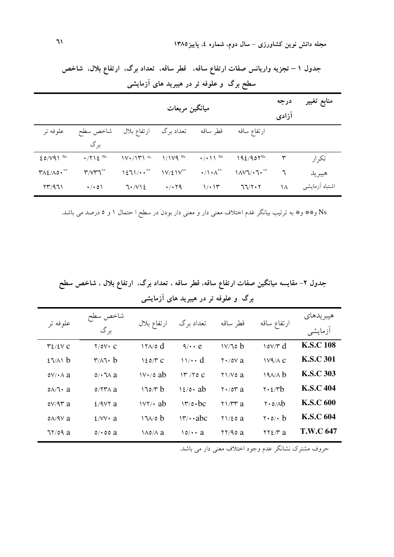| سطح بر د و علوفه تر در هیبرید های آزمایشی |                            |                                |                       |                            |                                                                       |               |                |  |
|-------------------------------------------|----------------------------|--------------------------------|-----------------------|----------------------------|-----------------------------------------------------------------------|---------------|----------------|--|
| ميانگين مربعات                            |                            |                                |                       |                            |                                                                       | درجه<br>آزادی | منابع تغيير    |  |
| علوفه تر                                  | شاخص سطح<br>بر گ           | ارتفاع بلال                    | تعداد برگ             | قطر ساقه                   | ارتفاع ساقه                                                           |               |                |  |
| $20/V41$ <sup>Ns</sup>                    | $\cdot$ /712 <sup>Ns</sup> | $\mathcal{W}\cdot/\mathcal{W}$ | $1/1V4$ <sup>Ns</sup> | $\cdot$ / $\cdot$ \ \ \ Ns | $192/901^{\text{Ns}}$                                                 | ٣             | تكرار          |  |
| $Y\Lambda\Sigma/\Lambda\circ\cdot^{**}$   | $\mathbf{r}/\mathbf{v}$    | 1271/4                         | $IV/LIV^{**}$         | $\cdot/\cdot \wedge^{**}$  | $\lambda \mathcal{N} \mathcal{N} \cdot \mathcal{N} \cdot \mathcal{N}$ | ٦             | هيبر يد        |  |
| $\Upsilon\Upsilon/971$                    | $\cdot$ / $\cdot$ 0)       | 7.712                          | $\cdot$ / $\cdot$ 79  | $1/\cdot 14$               | 77/7.7                                                                | ۱۸            | اشتباه أزمايشى |  |

جدول ۱ – تجزیه واریانس صفات ارتفاع ساقه، قطر ساقه، تعداد برگ، ارتفاع بلال، شاخص ۔<br>طح برگ و علوفه تر در هیبرید های آزمایشے

Ns و\*\* و\* به ترتیب بیانگر غدم اختلاف معنی دار و معنی دار بودن در سطح ا حتمال ۱ و ۵ درصد می باشد.

جدول ۲– مقایسه میانگین صفات ارتفاع ساقه، قطر ساقه ، تعداد برگ، ارتفاع بلال ، شاخص سطح برگ و علوفه تر در هیبرید های آزمایشی

| علوفه تر                                | شاخص سطح<br>بر گ                         | ارتفاع بلال                  | تعداد برگ                        | قطر ساقه                                     | ارتفاع ساقه                                                 | هيبر يدهاي<br>أزمايشي |
|-----------------------------------------|------------------------------------------|------------------------------|----------------------------------|----------------------------------------------|-------------------------------------------------------------|-----------------------|
| $\mathcal{Y}\mathcal{L}/\mathcal{L}V$ C | $Y/OV \cdot C$                           | $17\lambda$ od               | $\sqrt{4}$ $\cdot$ e             | V/To b                                       | $\cos \theta$                                               | <b>K.S.C 108</b>      |
| 27/1                                    | $\mathbf{r}/\mathbf{A} \cdot \mathbf{b}$ | $120/T$ C                    | $\mathcal{U} \cdot \mathcal{U}$  | $\mathsf{Y} \cdot / \mathsf{O} \mathsf{V}$ a | $1V4/\Lambda$ C                                             | <b>K.S.C 301</b>      |
| $oV/\cdot \wedge a$                     | $0/\cdot$ $\sqrt{2}$ a                   | $\frac{1}{\sqrt{6}}$ ab      | 17/70C                           | $Y\$ /V0a                                    | 19A/A b                                                     | <b>K.S.C 303</b>      |
| $0\Lambda/\tau$ a                       | $0/77\lambda$ a                          | 170/T b                      | $\sqrt{\xi/\circ}$ ab            | $Y \cdot / \delta Y$ a                       | $\mathbf{y} \cdot \mathbf{z} / \mathbf{r}$                  | <b>K.S.C 404</b>      |
| $oV/9r$ a                               | $2/9V$ a                                 | $\frac{1}{\sqrt{7}}$ ab      | $\mathcal{N}$ / $\circ \cdot$ bc | $\gamma$ / $\gamma$ a                        | $\mathbf{Y} \cdot \mathbf{0} / \mathbf{A} \mathbf{b}$       | <b>K.S.C 600</b>      |
| $0\lambda$ /9 $V$ a                     | $2/Vv \cdot a$                           | 1700 b                       | $\gamma \cdot abc$               | $Y\frac{1}{2}$ a                             | $\mathbf{y} \cdot \mathbf{0} / \mathbf{b}$                  | <b>K.S.C 604</b>      |
| 77/09a                                  | $\circ$ $\circ$ $\circ$ $\circ$ $\circ$  | $\lambda \delta / \lambda a$ | $\mathfrak{0}/\mathfrak{0}$ a    | $\frac{1}{2}$                                | $\mathbf{Y} \mathbf{Y} \mathbf{\mathcal{E}} / \mathbf{Y}$ a | <b>T.W.C 647</b>      |

حروف مشترک نشانگر عدم وجود اختلاف معنی دار می باشد.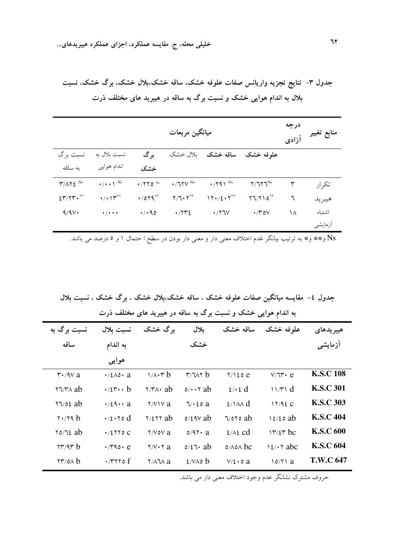جدول ٣- نتايج تجزيه واريانس صفات علوفه خشک، ساقه خشک،بلال خشک، برگ خشک، نسبت بلال به اندام هوایی خشک و نسبت برگ به ساقه در هیبرید های مختلف ذرت

| ميانگين مربعات                                |                                            |                 |                               |                            |                                           |    | منابع تغيير |
|-----------------------------------------------|--------------------------------------------|-----------------|-------------------------------|----------------------------|-------------------------------------------|----|-------------|
| نسبت برگ                                      | نسبت بلال به                               | بر گ            | بلال خشک                      | ساقه خشک                   | علوفه خشک                                 |    |             |
| به ساقه                                       | اندام هوایی                                | خشک             |                               |                            |                                           |    |             |
| $\Upsilon/\Lambda\Upsilon\,\xi$ <sup>Ns</sup> | $\bullet/\bullet\bullet\uparrow\text{ Ns}$ | $\cdot$ /770 Ns | $\cdot$ /77 $V$ <sup>Ns</sup> | $\cdot$ /791 <sup>Ns</sup> | $Y/TY^{\text{Ns}}$                        | ٣  | تكر ار      |
| $\S$ r/ $\gamma$ r.                           | $\cdot/\cdot$ \r**                         | $\cdot$ /079**  | $Y/T \cdot Y$ **              | $17.72.7***$               | $\Upsilon \Upsilon / \Upsilon \Upsilon^*$ | ٦  | هيبريد      |
| 9/9V                                          | $\bullet$ / $\bullet$ + $\bullet$          | 4/490           | $\cdot$ /۲۳٤                  | $\cdot$ /۲٦ $V$            | $\cdot$ / $\sim$ 0 $\vee$                 | ۱۸ | اشتىاه      |
|                                               |                                            |                 |                               |                            |                                           |    | أزمايشي     |

Ns و\*\* و\* به ترتیب بیانگر غدم اختلاف معنی دار و معنی دار بودن در سطح ا حتمال ۱ و ۵ درصد می باشد.

جدول ٤– مقايسه ميانگين صفات علوفه خشک ، ساقه خشک،بلال خشک ، برگ خشک ، نسبت بلال به اندام هوایی خشک و نسبت برگ به ساقه در هیبرید های مختلف ذرت

| نسبت برگ به                                   | نسبت بلال                                         | برگ خشک                            | بلال                    | ساقه خشک                   | علوفه خشک           | هيبر يدهاى       |
|-----------------------------------------------|---------------------------------------------------|------------------------------------|-------------------------|----------------------------|---------------------|------------------|
| ساقه                                          | به اندام                                          |                                    | خشک                     |                            |                     | أزمايشي          |
|                                               | هوايي                                             |                                    |                         |                            |                     |                  |
| $\mathsf{r} \cdot \mathsf{A} \vee \mathsf{a}$ | $\cdot$ /٤ $\wedge$ ο $\cdot$ a                   | $1/\lambda \cdot r b$              | $\mathbf{r}/\mathbf{v}$ | $Y/\lambda$ 20 e           | $V/T$ $\cdot$ $e$   | <b>K.S.C 108</b> |
| $\forall \forall x \in \mathbb{R}$            | $\cdot$ / $\mathfrak{r} \cdot \cdot \mathfrak{b}$ | $\forall x \land \mathbf{a}$       | $0/\cdot \cdot \tau$ ab | $\ell \cdot \ell$ d        | 11/T1 d             | <b>K.S.C 301</b> |
| $77/06$ ab                                    | $\cdot$ /29 $\cdot$ a                             | $Y/Y$ \v a                         | 7/20a                   | $2/\lambda \wedge d$       | 17/92C              | <b>K.S.C 303</b> |
| $\mathbf{y} \cdot \mathbf{y}$                 | $\cdot$ / { $\cdot$ $\cdot$ $\circ$ d             | $\frac{7}{2}$ 7/2 $\frac{7}{2}$ ab | $0/29V$ ab              | $\sqrt{20}$                | $\frac{12}{20}$ ab  | <b>K.S.C 404</b> |
| $\frac{8}{20}$                                | $\cdot$ /2770 C                                   | $Y/V$ o $V$ a                      | $0/97$ a                | $2/\lambda$ cd             | $\frac{17}{27}$ bc  | <b>K.S.C 600</b> |
| $\tau\tau/4\tau b$                            | $\cdot$ / $rao$ $\cdot$ e                         | $Y/V \cdot Y$ a                    | $0/\xi$ ab              | $0/\lambda$ o $\lambda$ bc | $\frac{12}{11}$ abc | <b>K.S.C 604</b> |
| $\forall \forall$ /0 $\land$ b                | $\cdot$ /۳۲۲۵ f                                   | $\frac{1}{2}$                      | $2/N$ to b              | $V/\xi \cdot o$ a          | 10/71a              | <b>T.W.C 647</b> |

۔<br>حروف مشترک نشانگر عدم وجود اختلاف معنی دار می باشد.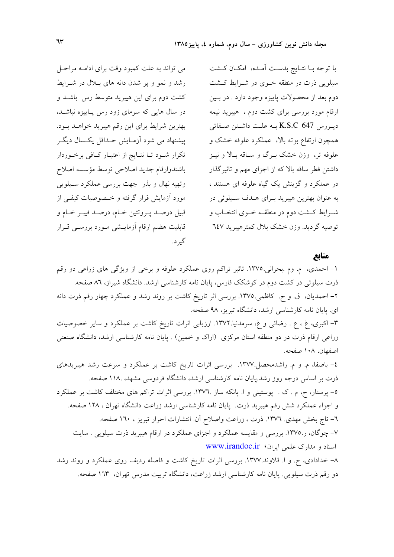با توجه بــا نتــايج بدسـت أمــده، امكــان كــشت سیلویی ذرت در منطقه خـوی در شـرایط کـشت دوم بعد از محصولات پاییزه وجود دارد . در بسین ارقام مورد بررسی برای کشت دوم ، هیبرید نیمه ديورس K.S.C 647 به علت داشتن صفاتي همچون ارتفاع بوته بالا، عملکرد علوفه خشک و علوفه تر، وزن خشک بـرگ و سـاقه بـالا و نيـز داشتن قطر ساقه بالا که از اجزای مهم و تاثیرگذار در عملکرد و گزینش یک گیاه علوفه ای هستند ، به عنوان بهترین هیبرید بـرای هـدف سـیلوئی در شـرايط كـشت دوم در منطقــه خــوى انتخــاب و توصيه گرديد. وزن خشک بلال کمترهيبريد ٦٤٧

منابع

۱– احمدی، م. وم بحرانی.۱۳۷۵. تاثیر تراکم روی عملکرد علوفه و برخی از ویژگی های زراعی دو رقم ذرت سیلوئی در کشت دوم در کوشکک فارس، پایان نامه کارشناسی ارشد. دانشگاه شیراز، ۸٦ صفحه. ۲– احمدیان، ق و ح کاظمی ۱۳۷۵. بررسی اثر تاریخ کاشت بر روند رشد و عملکرد چهار رقم ذرت دانه ای. پایان نامه کارشناسی ارشد، دانشگاه تبریز، ۹۸ صفحه.

گېر د.

۳– اکبری، غ ، ع . رضائی و غ، سرمدنیا.۱۳۷۲. ارزیابی اثرات تاریخ کاشت بر عملکرد و سایر خصوصیات زراعی ارقام ذرت در دو منطقه استان مرکزی (اراک و خمین) . پایان نامه کارشناسی ارشد، دانشگاه صنعتی اصفهان، ۱۰۸ صفحه.

٤- باصفا، م. و م. راشدمحصل ١٣٧٧. بررسي اثرات تاريخ كاشت بر عملكرد و سرعت رشد هيبريدهاي ذرت بر اساس درجه روز رشد.پایان نامه کارشناسی ارشد، دانشگاه فردوسی مشهد، ۱۱۸ صفحه. ٥- پرستار، ح، م . ک . پوستینی و ا. پانکه ساز .١٣٧٦. بررسی اثرات تراکم های مختلف کاشت بر عملکرد و اجزاء عملکرد شش رقم هیبرید ذرت. پایان نامه کارشناسی ارشد زراعت دانشگاه تهران ، ۱۲۸ صفحه. ٦– تاج بخش مهدی. ١٣٧٦. ذرت ، زراعت واصلاح آن. انتشارات احرار تبریز ، ١٦٠ صفحه. ۷– چوگان، ر.۱۳۷۵. بررسی و مقایسه عملکرد و اجزای عملکرد در ارقام هیبرید ذرت سیلویی . سایت اسناد و مدارک علمی ایران، www.irandoc.ir

۸– خدادادی، ح. و ا. قلاوند.۱۳۷۷. بررسی اثرات تاریخ کاشت و فاصله ردیف روی عملکرد و روند رشد دو رقم ذرت سیلویی. پایان نامه کارشناسی ارشد زراعت، دانشگاه تربیت مدرس تهران، ۱٦۳ صفحه.

می تواند به علت کمبود وقت برای ادامـه مراحـل

رشد و نمو و پر شدن دانه های بلال در شـرایط

کشت دوم برای این هیبرید متوسط رس باشـد و

در سال هایی که سرمای زود رس پاییزه نباشـد،

بهترين شرايط براي اين رقم هيبريد خواهـد بـود.

پیشنهاد می شود آزمـایش حـداقل یکـسال دیگـر

تکرار شـود تـا نتـايج از اعتبـار كـافي برخـوردار

باشندوارقام جديد اصلاحي توسط مؤسسه اصلاح

وتهيه نهال وبذر جهت بررسي عملكرد سيلويي

مورد آزمایش قرار گرفته و خـصوصیات کیفـی از

قبيل درصـد پــروتئين خــام، درصـد فيبــر خــام و

قابلیت هضم ارقام آزمایــشی مــورد بررســی قــرار